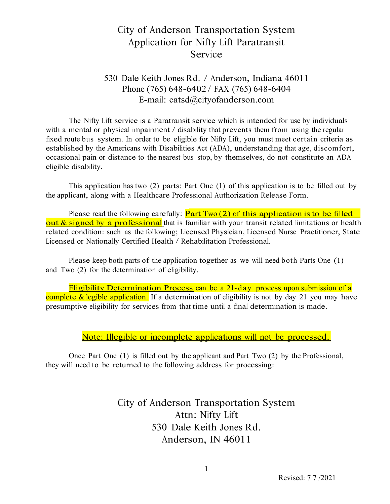## City of Anderson Transportation System Application for Nifty Lift Paratransit Service

### 530 Dale Keith Jones Rd. / Anderson, Indiana 46011 Phone (765) 648-6402 / FAX (765) 648-6404 E-mail: [catsd@cityofanderson.com](mailto:catsd@cityofanderson.com)

The Nifty Lift service is a Paratransit service which is intended for use by individuals with a mental or physical impairment / disability that prevents them from using the regular fixed route bus system. In order to be eligible for Nifty Lift, you must meet certain criteria as established by the Americans with Disabilities Act (ADA), understanding that age, discomfort, occasional pain or distance to the nearest bus stop, by themselves, do not constitute an ADA eligible disability.

This application has two (2) parts: Part One (1) of this application is to be filled out by the applicant, along with a Healthcare Professional Authorization Release Form.

Please read the following carefully:  $Part Two (2)$  of this application is to be filled out & signed by a professional that is familiar with your transit related limitations or health related condition: such as the following; Licensed Physician, Licensed Nurse Practitioner, State Licensed or Nationally Certified Health / Rehabilitation Professional.

Please keep both parts of the application together as we will need both Parts One (1) and Two (2) for the determination of eligibility.

Eligibility Determination Process can be a 21-day process upon submission of a complete & legible application. If a determination of eligibility is not by day 21 you may have presumptive eligibility for services from that time until a final determination is made.

Note: Illegible or incomplete applications will not be processed.

Once Part One (1) is filled out by the applicant and Part Two (2) by the Professional, they will need to be returned to the following address for processing:

> City of Anderson Transportation System Attn: Nifty Lift 530 Dale Keith Jones Rd. Anderson, IN 46011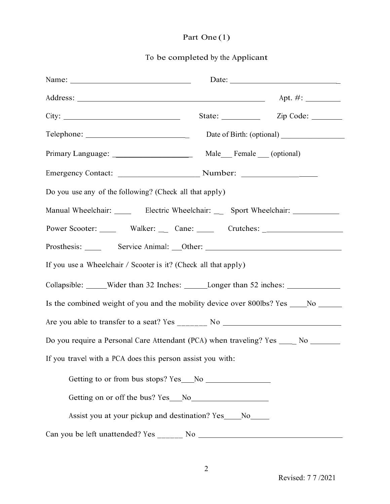# Part One (1)

## To be completed by the Applicant

| Name: $\frac{1}{\sqrt{1-\frac{1}{2}} \cdot \frac{1}{2}}$                                | Date:                   |
|-----------------------------------------------------------------------------------------|-------------------------|
|                                                                                         |                         |
|                                                                                         | State: <u>Zip Code:</u> |
|                                                                                         |                         |
|                                                                                         |                         |
|                                                                                         |                         |
| Do you use any of the following? (Check all that apply)                                 |                         |
| Manual Wheelchair: _______ Electric Wheelchair: ____ Sport Wheelchair: _________        |                         |
| Power Scooter: ______ Walker: ____ Cane: ______ Crutches: ______________________        |                         |
|                                                                                         |                         |
| If you use a Wheelchair / Scooter is it? (Check all that apply)                         |                         |
| Collapsible: _____Wider than 32 Inches: _______Longer than 52 inches: ___________       |                         |
| Is the combined weight of you and the mobility device over 800lbs? Yes ______No _______ |                         |
|                                                                                         |                         |
| Do you require a Personal Care Attendant (PCA) when traveling? Yes ____ No ______       |                         |
| If you travel with a PCA does this person assist you with:                              |                         |
|                                                                                         |                         |
|                                                                                         |                         |
| Assist you at your pickup and destination? Yes____No____                                |                         |
|                                                                                         |                         |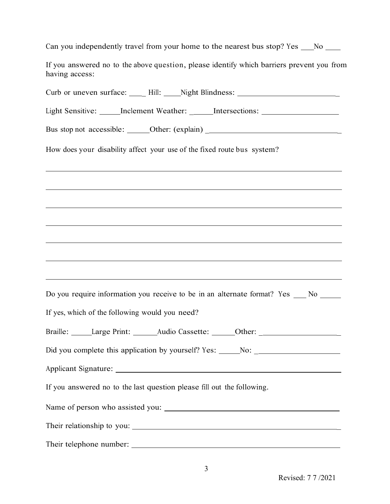| Can you independently travel from your home to the nearest bus stop? Yes |  |  |  |  |
|--------------------------------------------------------------------------|--|--|--|--|
|--------------------------------------------------------------------------|--|--|--|--|

If you answered no to the above question, please identify which barriers prevent you from having access:

| Curb or uneven surface: _____ Hill: _____ Night Blindness: ______________________   |
|-------------------------------------------------------------------------------------|
| Light Sensitive: ______ Inclement Weather: _______ Intersections: _______________   |
| Bus stop not accessible: ______Other: (explain) ________________________________    |
| How does your disability affect your use of the fixed route bus system?             |
| <u> 1989 - Johann Stoff, amerikansk politiker (d. 1989)</u>                         |
|                                                                                     |
|                                                                                     |
|                                                                                     |
|                                                                                     |
| Do you require information you receive to be in an alternate format? Yes __ No ____ |
| If yes, which of the following would you need?                                      |
| Braille: Large Print: ______Audio Cassette: ______Other: _______________________    |
| Did you complete this application by yourself? Yes: _____No: ___________________    |
| Applicant Signature:                                                                |
| If you answered no to the last question please fill out the following.              |
|                                                                                     |
|                                                                                     |
|                                                                                     |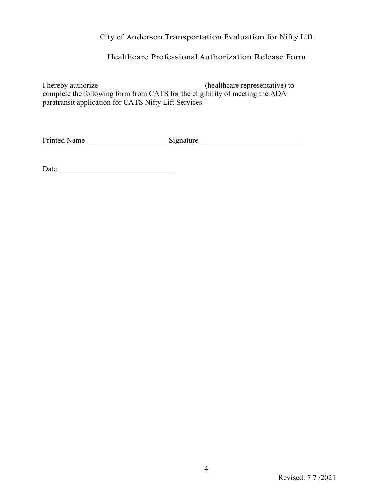#### City of Anderson Transportation Evaluation for Nifty Lift

#### Healthcare Professional Authorization Release Form

I hereby authorize \_\_\_\_\_\_\_\_\_\_\_\_\_\_\_\_\_\_\_\_\_\_\_\_\_\_\_\_\_\_(healthcare representative) to complete the following form from CATS for the eligibility of meeting the ADA paratransit application for CATS Nifty Lift Services.

Printed Name \_\_\_\_\_\_\_\_\_\_\_\_\_\_\_\_\_\_\_\_\_ Signature \_\_\_\_\_\_\_\_\_\_\_\_\_\_\_\_\_\_\_\_\_\_\_\_\_\_

Date \_\_\_\_\_\_\_\_\_\_\_\_\_\_\_\_\_\_\_\_\_\_\_\_\_\_\_\_\_\_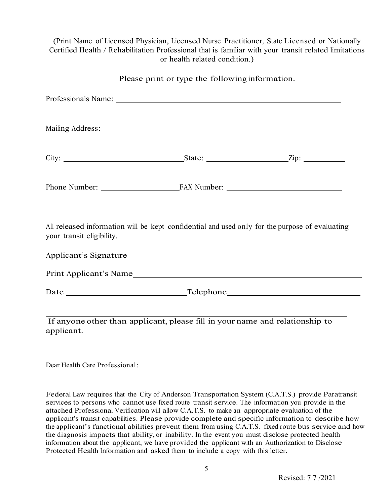(Print Name of Licensed Physician, Licensed Nurse Practitioner, State Licensed or Nationally Certified Health / Rehabilitation Professional that is familiar with your transit related limitations or health related condition.)

Please print or type the following information.

| your transit eligibility. | All released information will be kept confidential and used only for the purpose of evaluating |  |
|---------------------------|------------------------------------------------------------------------------------------------|--|
|                           |                                                                                                |  |
|                           | Print Applicant's Name                                                                         |  |
|                           |                                                                                                |  |
|                           | If anyone other than applicant, please fill in your name and relationship to                   |  |

Dear Health Care Professional:

applicant.

Federal Law requires that the City of Anderson Transportation System (C.A.T.S.) provide Paratransit services to persons who cannot use fixed route transit service. The information you provide in the attached Professional Verification will allow C.A.T.S. to make an appropriate evaluation of the applicant's transit capabilities. Please provide complete and specific information to describe how the applicant's functional abilities prevent them from using C.A.T.S. fixed route bus service and how the diagnosis impacts that ability, or inability. In the event you must disclose protected health information about the applicant, we have provided the applicant with an Authorization to Disclose Protected Health Information and asked them to include a copy with this letter.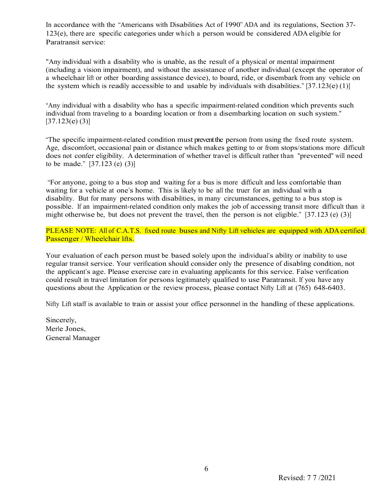In accordance with the "Americans with Disabilities Act of 1990" ADA and its regulations, Section 37- 123(e), there are specific categories under which a person would be considered ADA eligible for Paratransit service:

"Any individual with a disability who is unable, as the result of a physical or mental impairment (including a vision impairment), and without the assistance of another individual (except the operator of a wheelchair lift or other boarding assistance device), to board, ride, or disembark from any vehicle on the system which is readily accessible to and usable by individuals with disabilities."  $[37.123(e)(1)]$ 

"Any individual with a disability who has a specific impairment-related condition which prevents such individual from traveling to a boarding location or from a disembarking location on such system."  $[37.123(e)(3)]$ 

"The specific impairment-related condition must prevent the person from using the fixed route system. Age, discomfort, occasional pain or distance which makes getting to or from stops/stations more difficult does not confer eligibility. A determination of whether travel is difficult rather than "prevented" will need to be made." [37.123 (e) (3)]

"For anyone, going to a bus stop and waiting for a bus is more difficult and less comfortable than waiting for a vehicle at one's home. This is likely to be all the truer for an individual with a disability. But for many persons with disabilities, in many circumstances, getting to a bus stop is possible. If an impairment-related condition only makes the job of accessing transit more difficult than it might otherwise be, but does not prevent the travel, then the person is not eligible." [37.123 (e) (3)]

PLEASE NOTE: All of C.A.T.S. fixed route buses and Nifty Lift vehicles are equipped with ADA certified Passenger / Wheelchair lifts.

Your evaluation of each person must be based solely upon the individual's ability or inability to use regular transit service. Your verification should consider only the presence of disabling condition, not the applicant's age. Please exercise care in evaluating applicants for this service. False verification could result in travel limitation for persons legitimately qualified to use Paratransit. If you have any questions about the Application or the review process, please contact Nifty Lift at (765) 648-6403.

Nifty Lift staff is available to train or assist your office personnel in the handling of these applications.

Sincerely, Merle Jones, General Manager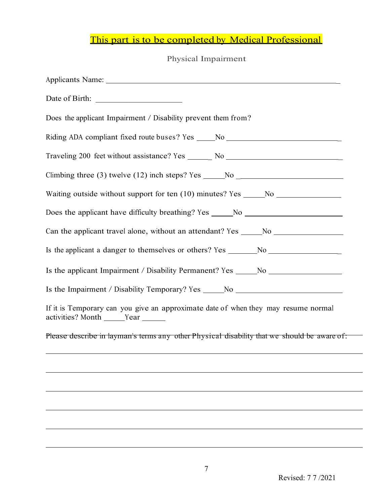# This part is to be completed by Medical Professional

### Physical Impairment

| Does the applicant Impairment / Disability prevent them from?                                                             |
|---------------------------------------------------------------------------------------------------------------------------|
| Riding ADA compliant fixed route buses? Yes _____No ____________________________                                          |
| Traveling 200 feet without assistance? Yes _______ No __________________________                                          |
| Climbing three (3) twelve (12) inch steps? Yes $\_\_\_\$ No $\_\_\_\_\_\_\_\_\_\_$                                        |
| Waiting outside without support for ten (10) minutes? Yes _____No ______________                                          |
| Does the applicant have difficulty breathing? Yes ______No _____________________                                          |
| Can the applicant travel alone, without an attendant? Yes _____No ______________                                          |
| Is the applicant a danger to themselves or others? Yes _______No _______________                                          |
| Is the applicant Impairment / Disability Permanent? Yes _____No ________________                                          |
| Is the Impairment / Disability Temporary? Yes _____No __________________________                                          |
| If it is Temporary can you give an approximate date of when they may resume normal<br>activities? Month ______Year ______ |
| Please describe in layman's terms any other Physical disability that we should be aware of:                               |
|                                                                                                                           |
|                                                                                                                           |
|                                                                                                                           |
|                                                                                                                           |
|                                                                                                                           |

 $\overline{\phantom{0}}$